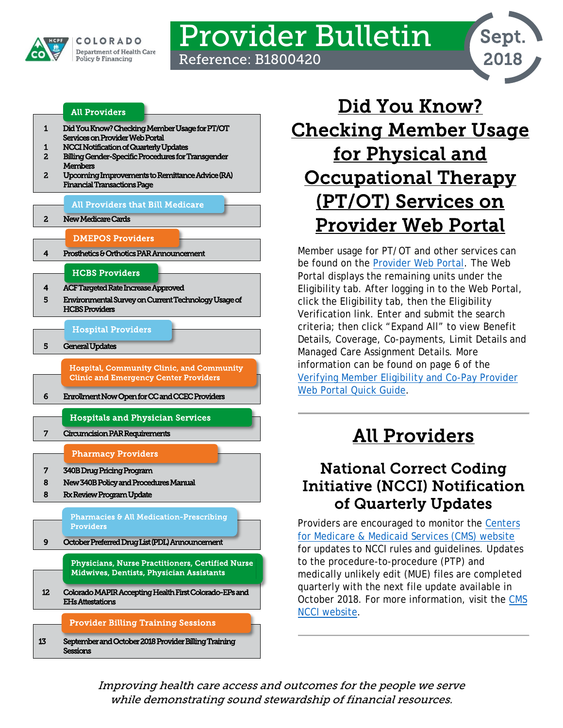

# Provider Bulletin Reference: B1800420



### [All Providers](#page-0-2)

- [1 Did You Know? Checking Member Usage for PT/OT](#page-0-0)  [Services on Provider Web Portal](#page-0-0)
- [1 NCCI Notification of Quarterly Updates](#page-0-1)
- [2 Billing Gender-Specific Procedures for Transgender](#page-1-0)  **Members**
- [2 Upcoming Improvements to Remittance Advice \(RA\)](#page-1-1)  [Financial Transactions Page](#page-1-1)

#### [All Providers that Bill Medicare](#page-1-3)

#### [2 New Medicare Cards](#page-1-2)

- [DMEPOS Providers](#page-3-2)
- [4 Prosthetics & Orthotics PAR Announcement](#page-3-0)

#### [HCBS Providers](#page-3-3)

[4 ACF Targeted Rate Increase Approved](#page-3-1)  [5 Environmental Survey on Current Technology Usage of](#page-4-0)  [HCBS Providers](#page-4-0) 

#### [Hospital Providers](#page-4-2)

[5 General Updates](#page-4-1) 

[Hospital, Community Clinic, and Community](#page-5-1)  [Clinic and Emergency Center Providers](#page-5-1) 

#### [6 Enrollment Now Open for CC and CCEC Providers](#page-5-0)

- [Hospitals and Physician Services](#page-6-2)
- [7 Circumcision PAR Requirements](#page-6-0)

#### [Pharmacy Providers](#page-6-3)

- [7 340B Drug Pricing Program](#page-6-1)
- [8 New 340B Policy and Procedures Manual](#page-7-0)
- [8 Rx Review Program Update](#page-7-1)

#### [Pharmacies & All Medication-Prescribing](#page-8-1)  [Providers](#page-8-1)

[9 October Preferred Drug List \(PDL\) Announcement](#page-8-0) 

[Physicians, Nurse Practitioners, Certified Nurse](#page-11-1)  [Midwives, Dentists, Physician Assistants](#page-11-1) 

[12 Colorado MAPIR Accepting Health First Colorado-EPs and](#page-11-0)  [EHs Attestations](#page-11-0)  l

#### [Provider Billing Training Sessions](#page-12-0)

[13](#page-12-0) [September and October 2018 Provider Billing Training](#page-12-1)  **Sessions** 

<span id="page-0-0"></span>

Member usage for PT/OT and other services can be found on the [Provider Web Portal.](https://colorado-hcp-portal.xco.dcs-usps.com/hcp/provider/Home/tabid/135/Default.aspx) The Web Portal displays the remaining units under the Eligibility tab. After logging in to the Web Portal, click the Eligibility tab, then the Eligibility Verification link. Enter and submit the search criteria; then click "Expand All" to view Benefit Details, Coverage, Co-payments, Limit Details and Managed Care Assignment Details. More information can be found on page 6 of the [Verifying Member Eligibility and Co-Pay Provider](https://www.colorado.gov/pacific/sites/default/files/Member%20Eligibility%20021318.pdf)  [Web Portal Quick Guide.](https://www.colorado.gov/pacific/sites/default/files/Member%20Eligibility%20021318.pdf)

# All Providers

## <span id="page-0-2"></span><span id="page-0-1"></span>National Correct Coding Initiative (NCCI) Notification of Quarterly Updates

Providers are encouraged to monitor the [Centers](https://www.cms.gov/)  [for Medicare & Medicaid Services \(CMS\) website](https://www.cms.gov/) for updates to NCCI rules and guidelines. Updates to the procedure-to-procedure (PTP) and medically unlikely edit (MUE) files are completed quarterly with the next file update available in October 2018. For more information, visit the [CMS](https://www.cms.gov/Medicare/Coding/NationalCorrectCodInitEd/index.html)  [NCCI website.](https://www.cms.gov/Medicare/Coding/NationalCorrectCodInitEd/index.html)

Improving health care access and outcomes for the people we serve while demonstrating sound stewardship of financial resources.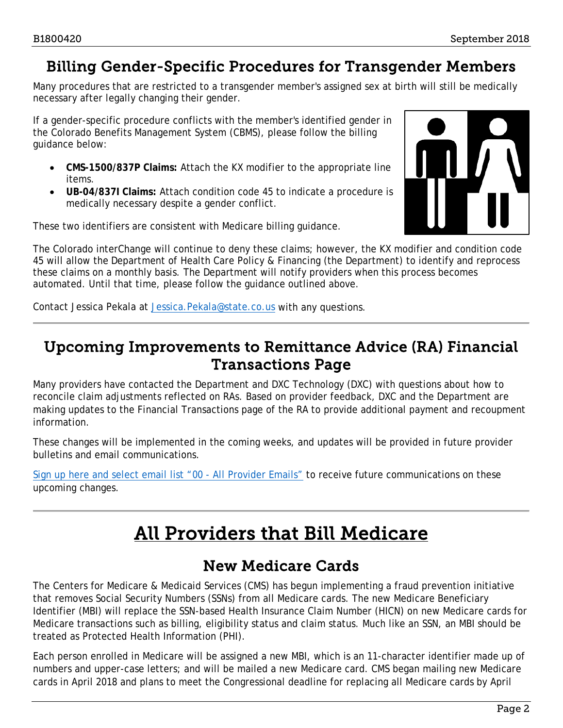# <span id="page-1-0"></span>Billing Gender-Specific Procedures for Transgender Members

Many procedures that are restricted to a transgender member's assigned sex at birth will still be medically necessary after legally changing their gender.

If a gender-specific procedure conflicts with the member's identified gender in the Colorado Benefits Management System (CBMS), please follow the billing guidance below:

- **CMS-1500/837P Claims:** Attach the KX modifier to the appropriate line items.
- **UB-04/837I Claims:** Attach condition code 45 to indicate a procedure is medically necessary despite a gender conflict.

These two identifiers are consistent with Medicare billing guidance.



The Colorado interChange will continue to deny these claims; however, the KX modifier and condition code 45 will allow the Department of Health Care Policy & Financing (the Department) to identify and reprocess these claims on a monthly basis. The Department will notify providers when this process becomes automated. Until that time, please follow the guidance outlined above.

Contact Jessica Pekala at Jessica. Pekala@state.co.us with any questions.

# <span id="page-1-1"></span>Upcoming Improvements to Remittance Advice (RA) Financial Transactions Page

Many providers have contacted the Department and DXC Technology (DXC) with questions about how to reconcile claim adjustments reflected on RAs. Based on provider feedback, DXC and the Department are making updates to the Financial Transactions page of the RA to provide additional payment and recoupment information.

These changes will be implemented in the coming weeks, and updates will be provided in future provider bulletins and email communications.

<span id="page-1-3"></span>[Sign up here and select email list "00 -](https://visitor.r20.constantcontact.com/manage/optin?v=001S8e9mo0MpsE86DXgcWe4GkDAjM7AJsvlWnu_x2Rq4lJLrRo_JIR6VH_FPl-PSk69nMuCPyl-pMQhm1PeAN36FMGYk9hWzpfrgLNOYNso0Hs=) All Provider Emails" to receive future communications on these upcoming changes.

# All Providers that Bill Medicare

# New Medicare Cards

<span id="page-1-2"></span>The Centers for Medicare & Medicaid Services (CMS) has begun implementing a fraud prevention initiative that removes Social Security Numbers (SSNs) from all Medicare cards. The new Medicare Beneficiary Identifier (MBI) will replace the SSN-based Health Insurance Claim Number (HICN) on new Medicare cards for Medicare transactions such as billing, eligibility status and claim status. Much like an SSN, an MBI should be treated as Protected Health Information (PHI).

Each person enrolled in Medicare will be assigned a new MBI, which is an 11-character identifier made up of numbers and upper-case letters; and will be mailed a new Medicare card. CMS began mailing new Medicare cards in April 2018 and plans to meet the Congressional deadline for replacing all Medicare cards by April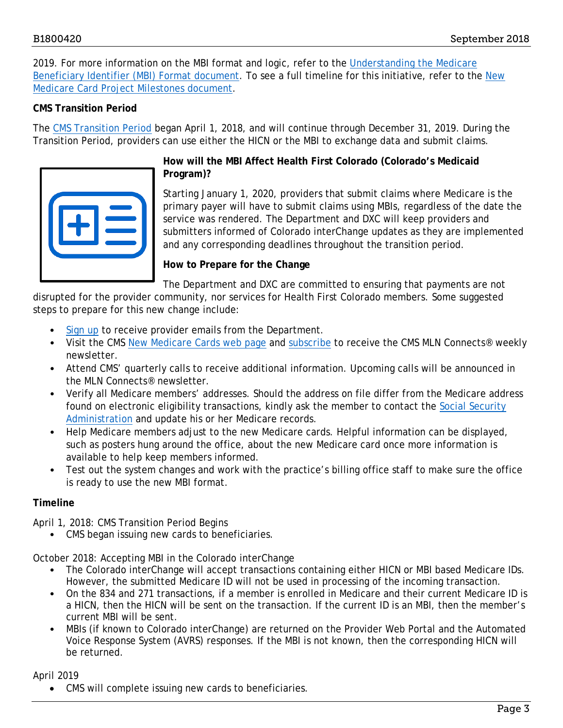2019. For more information on the MBI format and logic, refer to the Understanding the Medicare [Beneficiary Identifier \(MBI\) Format document.](https://www.cms.gov/Medicare/New-Medicare-Card/Understanding-the-MBI.pdf) To see a full timeline for this initiative, refer to the New [Medicare Card Project Milestones document.](https://www.cms.gov/Medicare/New-Medicare-Card/NMC-Timeline.pdf)

## **CMS Transition Period**

The [CMS Transition Period](https://www.cms.gov/Medicare/New-Medicare-Card/Transition-period.html) began April 1, 2018, and will continue through December 31, 2019. During the Transition Period, providers can use either the HICN or the MBI to exchange data and submit claims.



## **How will the MBI Affect Health First Colorado (Colorado's Medicaid Program)?**

Starting January 1, 2020, providers that submit claims where Medicare is the primary payer will have to submit claims using MBIs, regardless of the date the service was rendered. The Department and DXC will keep providers and submitters informed of Colorado interChange updates as they are implemented and any corresponding deadlines throughout the transition period.

## **How to Prepare for the Change**

The Department and DXC are committed to ensuring that payments are not

disrupted for the provider community, nor services for Health First Colorado members. Some suggested steps to prepare for this new change include:

- [Sign up](https://visitor.r20.constantcontact.com/manage/optin?v=001S8e9mo0MpsE86DXgcWe4GkDAjM7AJsvlWnu_x2Rq4lJLrRo_JIR6VH_FPl-PSk69nMuCPyl-pMQhm1PeAN36FMGYk9hWzpfrgLNOYNso0Hs%3D) to receive provider emails from the Department.
- Visit the CMS [New Medicare Cards web page](https://www.cms.gov/Medicare/New-Medicare-Card/index.html#target) and [subscribe](https://public.govdelivery.com/accounts/USCMS/subscriber/new?pop=t&topic_id=USCMS_7819) to receive the CMS MLN Connects® weekly newsletter.
- Attend CMS' quarterly calls to receive additional information. Upcoming calls will be announced in the MLN Connects® newsletter.
- Verify all Medicare members' addresses. Should the address on file differ from the Medicare address found on electronic eligibility transactions, kindly ask the member to contact the [Social Security](https://faq.ssa.gov/en-US/)  [Administration](https://faq.ssa.gov/en-US/) and update his or her Medicare records.
- Help Medicare members adjust to the new Medicare cards. Helpful information can be displayed, such as posters hung around the office, about the new Medicare card once more information is available to help keep members informed.
- Test out the system changes and work with the practice's billing office staff to make sure the office is ready to use the new MBI format.

### **Timeline**

April 1, 2018: CMS Transition Period Begins

• CMS began issuing new cards to beneficiaries.

October 2018: Accepting MBI in the Colorado interChange

- The Colorado interChange will accept transactions containing either HICN or MBI based Medicare IDs. However, the submitted Medicare ID will not be used in processing of the incoming transaction.
- On the 834 and 271 transactions, if a member is enrolled in Medicare and their current Medicare ID is a HICN, then the HICN will be sent on the transaction. If the current ID is an MBI, then the member's current MBI will be sent.
- MBIs (if known to Colorado interChange) are returned on the Provider Web Portal and the Automated Voice Response System (AVRS) responses. If the MBI is not known, then the corresponding HICN will be returned.

April 2019

• CMS will complete issuing new cards to beneficiaries.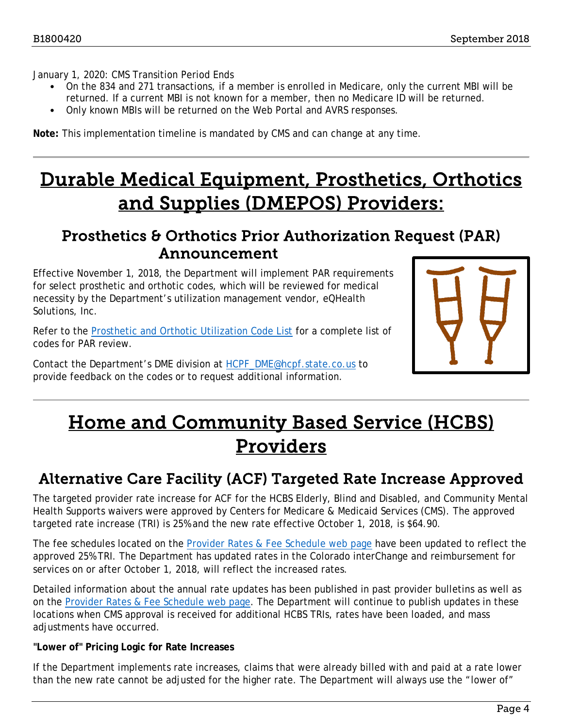January 1, 2020: CMS Transition Period Ends

- On the 834 and 271 transactions, if a member is enrolled in Medicare, only the current MBI will be returned. If a current MBI is not known for a member, then no Medicare ID will be returned.
- Only known MBIs will be returned on the Web Portal and AVRS responses.

**Note:** This implementation timeline is mandated by CMS and can change at any time.

# <span id="page-3-2"></span>Durable Medical Equipment, Prosthetics, Orthotics and Supplies (DMEPOS) Providers:

## <span id="page-3-0"></span>Prosthetics & Orthotics Prior Authorization Request (PAR) Announcement

Effective November 1, 2018, the Department will implement PAR requirements for select prosthetic and orthotic codes, which will be reviewed for medical necessity by the Department's utilization management vendor, eQHealth Solutions, Inc.

Refer to the [Prosthetic and Orthotic Utilization Code List](https://www.colorado.gov/pacific/sites/default/files/Prosthetics%20-%20Orthotics%20PAR%20Utilization%20CODE%20LIST.pdf) for a complete list of codes for PAR review.

Contact the Department's DME division at [HCPF\\_DME@hcpf.state.co.us](mailto:HCPF_DME@hcpf.state.co.us) to provide feedback on the codes or to request additional information.



# <span id="page-3-3"></span>Home and Community Based Service (HCBS) Providers

# <span id="page-3-1"></span>Alternative Care Facility (ACF) Targeted Rate Increase Approved

The targeted provider rate increase for ACF for the HCBS Elderly, Blind and Disabled, and Community Mental Health Supports waivers were approved by Centers for Medicare & Medicaid Services (CMS). The approved targeted rate increase (TRI) is 25% and the new rate effective October 1, 2018, is \$64.90.

The fee schedules located on the [Provider Rates & Fee Schedule web page](https://www.colorado.gov/hcpf/provider-rates-fee-schedule) have been updated to reflect the approved 25% TRI. The Department has updated rates in the Colorado interChange and reimbursement for services on or after October 1, 2018, will reflect the increased rates.

Detailed information about the annual rate updates has been published in past provider bulletins as well as on the [Provider Rates & Fee Schedule web page.](https://www.colorado.gov/pacific/hcpf/provider-rates-fee-schedule) The Department will continue to publish updates in these locations when CMS approval is received for additional HCBS TRIs, rates have been loaded, and mass adjustments have occurred.

#### **"Lower of" Pricing Logic for Rate Increases**

If the Department implements rate increases, claims that were already billed with and paid at a rate lower than the new rate cannot be adjusted for the higher rate. The Department will always use the "lower of"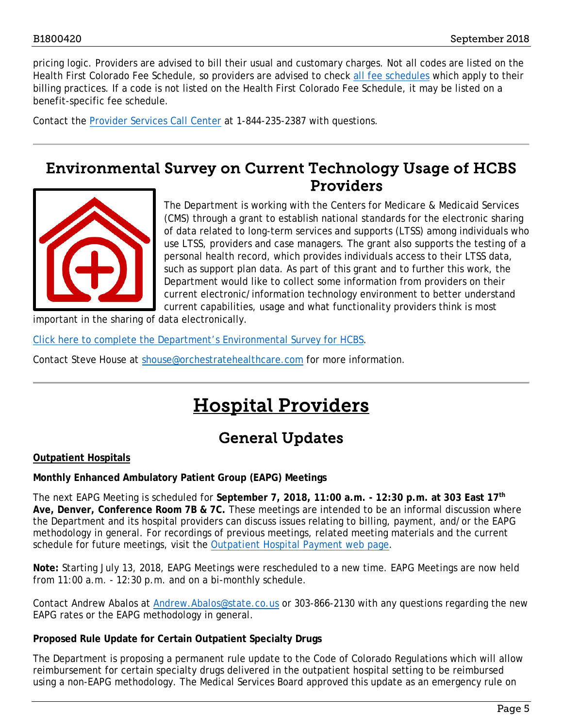pricing logic. Providers are advised to bill their usual and customary charges. Not all codes are listed on the Health First Colorado Fee Schedule, so providers are advised to check [all fee schedules](https://www.colorado.gov/pacific/hcpf/provider-rates-fee-schedule) which apply to their billing practices. If a code is not listed on the Health First Colorado Fee Schedule, it may be listed on a benefit-specific fee schedule.

Contact the [Provider Services Call Center](https://www.colorado.gov/pacific/sites/default/files/Provider%20Call%20Center%20Cheat%20Sheet.pdf) at 1-844-235-2387 with questions.

## <span id="page-4-0"></span>Environmental Survey on Current Technology Usage of HCBS Providers



The Department is working with the Centers for Medicare & Medicaid Services (CMS) through a grant to establish national standards for the electronic sharing of data related to long-term services and supports (LTSS) among individuals who use LTSS, providers and case managers. The grant also supports the testing of a personal health record, which provides individuals access to their LTSS data, such as support plan data. As part of this grant and to further this work, the Department would like to collect some information from providers on their current electronic/information technology environment to better understand current capabilities, usage and what functionality providers think is most

important in the sharing of data electronically.

[Click here to complete the Department's Environmental Survey for HCBS.](http://www.surveymonkey.com/r/LKJZV6J)

<span id="page-4-2"></span>Contact Steve House at [shouse@orchestratehealthcare.com](mailto:shouse@orchestratehealthcare.com) for more information.

# Hospital Providers

# General Updates

#### <span id="page-4-1"></span>**Outpatient Hospitals**

#### **Monthly Enhanced Ambulatory Patient Group (EAPG) Meetings**

The next EAPG Meeting is scheduled for **September 7, 2018, 11:00 a.m. - 12:30 p.m. at 303 East 17th Ave, Denver, Conference Room 7B & 7C.** These meetings are intended to be an informal discussion where the Department and its hospital providers can discuss issues relating to billing, payment, and/or the EAPG methodology in general. For recordings of previous meetings, related meeting materials and the current schedule for future meetings, visit the [Outpatient Hospital Payment web page.](https://www.colorado.gov/pacific/hcpf/outpatient-hospital-payment)

**Note:** Starting July 13, 2018, EAPG Meetings were rescheduled to a new time. EAPG Meetings are now held from 11:00 a.m. - 12:30 p.m. and on a bi-monthly schedule.

Contact Andrew Abalos at [Andrew.Abalos@state.co.us](mailto:Andrew.Abalos@state.co.us) or 303-866-2130 with any questions regarding the new EAPG rates or the EAPG methodology in general.

### **Proposed Rule Update for Certain Outpatient Specialty Drugs**

The Department is proposing a permanent rule update to the Code of Colorado Regulations which will allow reimbursement for certain specialty drugs delivered in the outpatient hospital setting to be reimbursed using a non-EAPG methodology. The Medical Services Board approved this update as an emergency rule on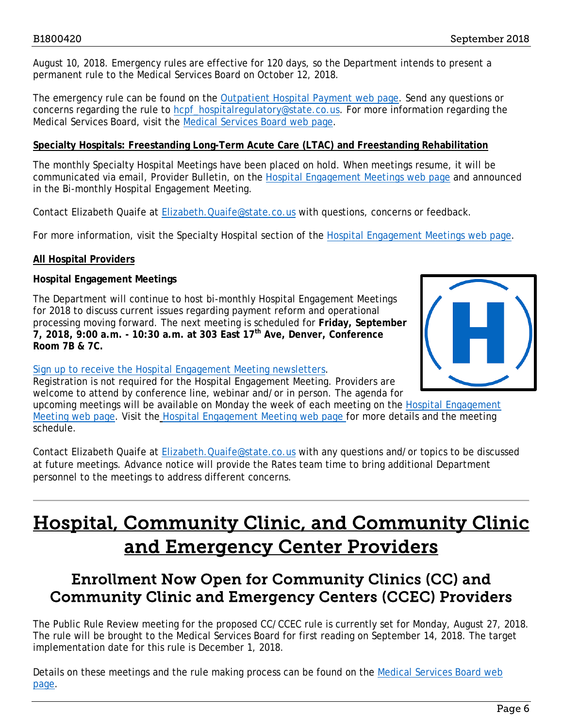August 10, 2018. Emergency rules are effective for 120 days, so the Department intends to present a permanent rule to the Medical Services Board on October 12, 2018.

The emergency rule can be found on the [Outpatient Hospital Payment](https://www.colorado.gov/pacific/hcpf/outpatient-hospital-payment) web page. Send any questions or concerns regarding the rule to [hcpf\\_hospitalregulatory@state.co.us.](mailto:hcpf_hospitalregulatory@state.co.us) For more information regarding the Medical Services Board, visit the [Medical Services Board web page.](https://www.colorado.gov/hcpf/medical-services-board)

#### **Specialty Hospitals: Freestanding Long-Term Acute Care (LTAC) and Freestanding Rehabilitation**

The monthly Specialty Hospital Meetings have been placed on hold. When meetings resume, it will be communicated via email, Provider Bulletin, on the [Hospital Engagement Meetings](https://www.colorado.gov/pacific/hcpf/hospital-engagement-meetings) web page and announced in the Bi-monthly Hospital Engagement Meeting.

Contact Elizabeth Quaife at [Elizabeth.Quaife@state.co.us](mailto:Elizabeth.Quaife@state.co.us) with questions, concerns or feedback.

For more information, visit the Specialty Hospital section of the [Hospital Engagement Meetings web page.](https://www.colorado.gov/pacific/hcpf/hospital-engagement-meetings)

### **All Hospital Providers**

### **Hospital Engagement Meetings**

The Department will continue to host bi-monthly Hospital Engagement Meetings for 2018 to discuss current issues regarding payment reform and operational processing moving forward. The next meeting is scheduled for **Friday, September 7, 2018, 9:00 a.m. - 10:30 a.m. at 303 East 17th Ave, Denver, Conference Room 7B & 7C.**



#### [Sign up to receive the Hospital Engagement Meeting newsletters.](https://visitor.r20.constantcontact.com/manage/optin?v=001HfxrbpGNWZ0lZnPp6t3PG2s9XPNl8ZvgFdjsKvSnhIy8z9JmHyp6DeoLJ3saT6x0SeqRR1ub149uoXxe1ok4jTzfMSQ0BN7S5vcLiRO7gdY%3D)

Registration is not required for the Hospital Engagement Meeting. Providers are welcome to attend by conference line, webinar and/or in person. The agenda for

upcoming meetings will be available on Monday the week of each meeting on the [Hospital Engagement](https://www.colorado.gov/pacific/hcpf/hospital-engagement-meetings)  [Meeting web](https://www.colorado.gov/pacific/hcpf/hospital-engagement-meetings) page. Visit the [Hospital Engagement Meeting web page](https://www.colorado.gov/pacific/hcpf/hospital-engagement-meetings) for more details and the meeting schedule.

Contact Elizabeth Quaife at [Elizabeth.Quaife@state.co.us](mailto:Elizabeth.Quaife@state.co.us) with any questions and/or topics to be discussed at future meetings. Advance notice will provide the Rates team time to bring additional Department personnel to the meetings to address different concerns.

# <span id="page-5-1"></span>Hospital, Community Clinic, and Community Clinic and Emergency Center Providers

# <span id="page-5-0"></span>Enrollment Now Open for Community Clinics (CC) and Community Clinic and Emergency Centers (CCEC) Providers

The Public Rule Review meeting for the proposed CC/CCEC rule is currently set for Monday, August 27, 2018. The rule will be brought to the Medical Services Board for first reading on September 14, 2018. The target implementation date for this rule is December 1, 2018.

Details on these meetings and the rule making process can be found on the [Medical Services Board web](https://www.colorado.gov/pacific/hcpf/medical-services-board)  [page.](https://www.colorado.gov/pacific/hcpf/medical-services-board)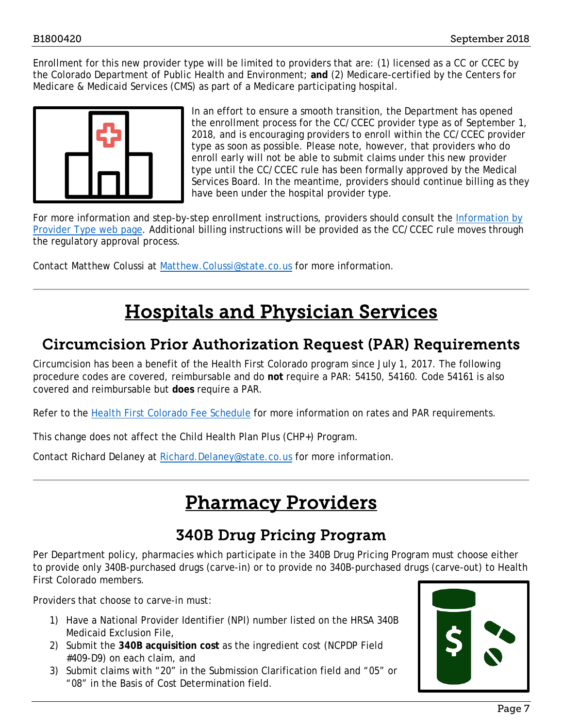Enrollment for this new provider type will be limited to providers that are: (1) licensed as a CC or CCEC by the Colorado Department of Public Health and Environment; **and** (2) Medicare-certified by the Centers for Medicare & Medicaid Services (CMS) as part of a Medicare participating hospital.



In an effort to ensure a smooth transition, the Department has opened the enrollment process for the CC/CCEC provider type as of September 1, 2018, and is encouraging providers to enroll within the CC/CCEC provider type as soon as possible. Please note, however, that providers who do enroll early will not be able to submit claims under this new provider type until the CC/CCEC rule has been formally approved by the Medical Services Board. In the meantime, providers should continue billing as they have been under the hospital provider type.

For more information and step-by-step enrollment instructions, providers should consult the Information by [Provider Type web page.](https://www.colorado.gov/hcpf/information-provider-type) Additional billing instructions will be provided as the CC/CCEC rule moves through the regulatory approval process.

Contact Matthew Colussi at [Matthew.Colussi@state.co.us](mailto:Matthew.Colussi@state.co.us) for more information.

# Hospitals and Physician Services

## <span id="page-6-2"></span><span id="page-6-0"></span>Circumcision Prior Authorization Request (PAR) Requirements

Circumcision has been a benefit of the Health First Colorado program since July 1, 2017. The following procedure codes are covered, reimbursable and do **not** require a PAR: 54150, 54160. Code 54161 is also covered and reimbursable but **does** require a PAR.

Refer to the [Health First Colorado Fee Schedule](https://www.colorado.gov/pacific/sites/default/files/Health%20First%20CO%20Physician%20Fee%20Schedule%20Effective%207-1-18.xlsx) for more information on rates and PAR requirements.

This change does not affect the Child Health Plan *Plus* (CHP+) Program.

<span id="page-6-3"></span>Contact Richard Delaney at [Richard.Delaney@state.co.us](mailto:Richard.Delaney@state.co.us) for more information.

# Pharmacy Providers

# 340B Drug Pricing Program

<span id="page-6-1"></span>Per Department policy, pharmacies which participate in the 340B Drug Pricing Program must choose either to provide only 340B-purchased drugs (carve-in) or to provide no 340B-purchased drugs (carve-out) to Health First Colorado members.

Providers that choose to carve-in must:

- 1) Have a National Provider Identifier (NPI) number listed on the HRSA 340B Medicaid Exclusion File,
- 2) Submit the **340B acquisition cost** as the ingredient cost (NCPDP Field #409-D9) on each claim, and
- 3) Submit claims with "20" in the Submission Clarification field and "05" or "08" in the Basis of Cost Determination field.

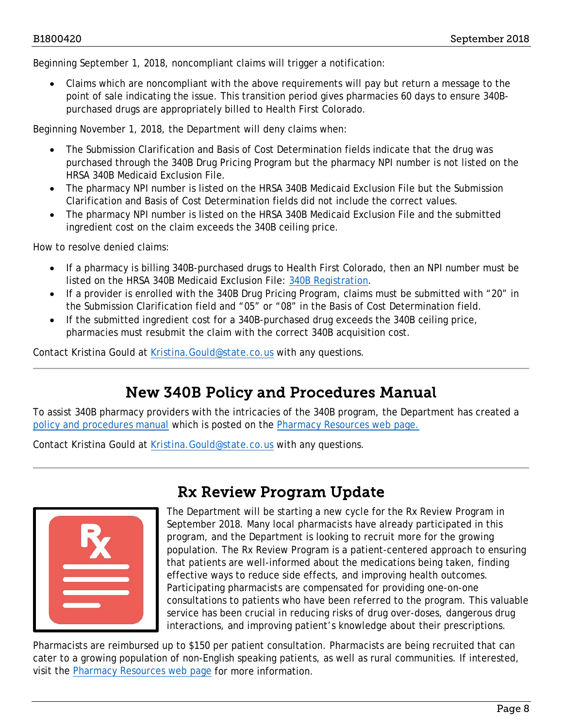Beginning September 1, 2018, noncompliant claims will trigger a notification:

• Claims which are noncompliant with the above requirements will pay but return a message to the point of sale indicating the issue. This transition period gives pharmacies 60 days to ensure 340Bpurchased drugs are appropriately billed to Health First Colorado.

Beginning November 1, 2018, the Department will deny claims when:

- The Submission Clarification and Basis of Cost Determination fields indicate that the drug was purchased through the 340B Drug Pricing Program but the pharmacy NPI number is not listed on the HRSA 340B Medicaid Exclusion File.
- The pharmacy NPI number is listed on the HRSA 340B Medicaid Exclusion File but the Submission Clarification and Basis of Cost Determination fields did not include the correct values.
- The pharmacy NPI number is listed on the HRSA 340B Medicaid Exclusion File and the submitted ingredient cost on the claim exceeds the 340B ceiling price.

How to resolve denied claims:

- If a pharmacy is billing 340B-purchased drugs to Health First Colorado, then an NPI number must be listed on the HRSA 340B Medicaid Exclusion File: [340B Registration.](https://www.hrsa.gov/opa/registration/index.html)
- If a provider is enrolled with the 340B Drug Pricing Program, claims must be submitted with "20" in the Submission Clarification field and "05" or "08" in the Basis of Cost Determination field.
- If the submitted ingredient cost for a 340B-purchased drug exceeds the 340B ceiling price, pharmacies must resubmit the claim with the correct 340B acquisition cost.

Contact Kristina Gould at Kristina. Gould@state.co.us with any questions.

## New 340B Policy and Procedures Manual

<span id="page-7-0"></span>To assist 340B pharmacy providers with the intricacies of the 340B program, the Department has created a [policy and procedures manual](https://www.colorado.gov/pacific/sites/default/files/340B%20Final%20Manual.pdf) which is posted on the [Pharmacy Resources web](https://www.colorado.gov/pacific/hcpf/pharmacy-resources) page.

Contact Kristina Gould at [Kristina.Gould@state.co.us](mailto:Kristina.Gould@state.co.us) with any questions.

<span id="page-7-1"></span>

# Rx Review Program Update

The Department will be starting a new cycle for the Rx Review Program in September 2018. Many local pharmacists have already participated in this program, and the Department is looking to recruit more for the growing population. The Rx Review Program is a patient-centered approach to ensuring that patients are well-informed about the medications being taken, finding effective ways to reduce side effects, and improving health outcomes. Participating pharmacists are compensated for providing one-on-one consultations to patients who have been referred to the program. This valuable service has been crucial in reducing risks of drug over-doses, dangerous drug interactions, and improving patient's knowledge about their prescriptions.

Pharmacists are reimbursed up to \$150 per patient consultation. Pharmacists are being recruited that can cater to a growing population of non-English speaking patients, as well as rural communities. If interested, visit the [Pharmacy Resources web page](https://www.colorado.gov/hcpf/pharmacy-resources) for more information.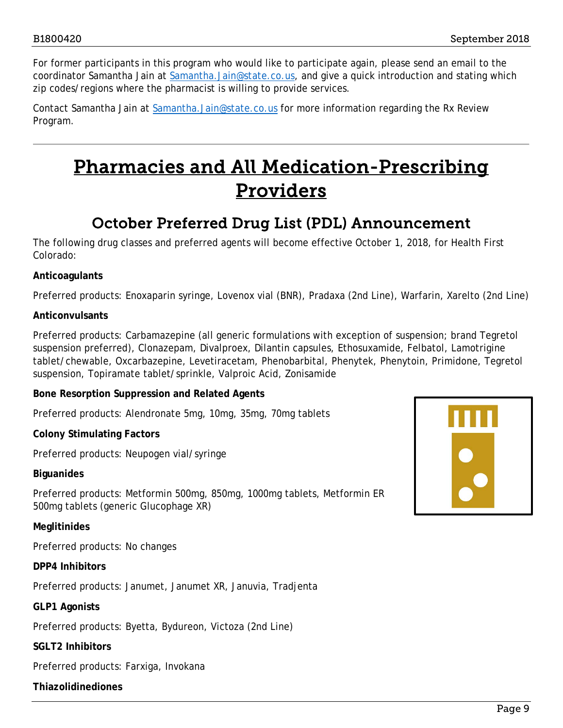For former participants in this program who would like to participate again, please send an email to the coordinator Samantha Jain at [Samantha.Jain@state.co.us,](mailto:Samantha.Jain@state.co.us) and give a quick introduction and stating which zip codes/regions where the pharmacist is willing to provide services.

Contact Samantha Jain at [Samantha.Jain@state.co.us](mailto:Samantha.Jain@state.co.us) for more information regarding the Rx Review Program.

# <span id="page-8-1"></span>Pharmacies and All Medication-Prescribing Providers

# October Preferred Drug List (PDL) Announcement

<span id="page-8-0"></span>The following drug classes and preferred agents will become effective October 1, 2018, for Health First Colorado:

## **Anticoagulants**

Preferred products: Enoxaparin syringe, Lovenox vial (BNR), Pradaxa (2nd Line), Warfarin, Xarelto (2nd Line)

### **Anticonvulsants**

Preferred products: Carbamazepine (all generic formulations with exception of suspension; brand Tegretol suspension preferred), Clonazepam, Divalproex, Dilantin capsules, Ethosuxamide, Felbatol, Lamotrigine tablet/chewable, Oxcarbazepine, Levetiracetam, Phenobarbital, Phenytek, Phenytoin, Primidone, Tegretol suspension, Topiramate tablet/sprinkle, Valproic Acid, Zonisamide

### **Bone Resorption Suppression and Related Agents**

Preferred products: Alendronate 5mg, 10mg, 35mg, 70mg tablets

### **Colony Stimulating Factors**

Preferred products: Neupogen vial/syringe

**Biguanides**

Preferred products: Metformin 500mg, 850mg, 1000mg tablets, Metformin ER 500mg tablets (generic Glucophage XR)

### **Meglitinides**

Preferred products: No changes

**DPP4 Inhibitors**

Preferred products: Janumet, Janumet XR, Januvia, Tradjenta

#### **GLP1 Agonists**

Preferred products: Byetta, Bydureon, Victoza (2nd Line)

#### **SGLT2 Inhibitors**

Preferred products: Farxiga, Invokana

### **Thiazolidinediones**

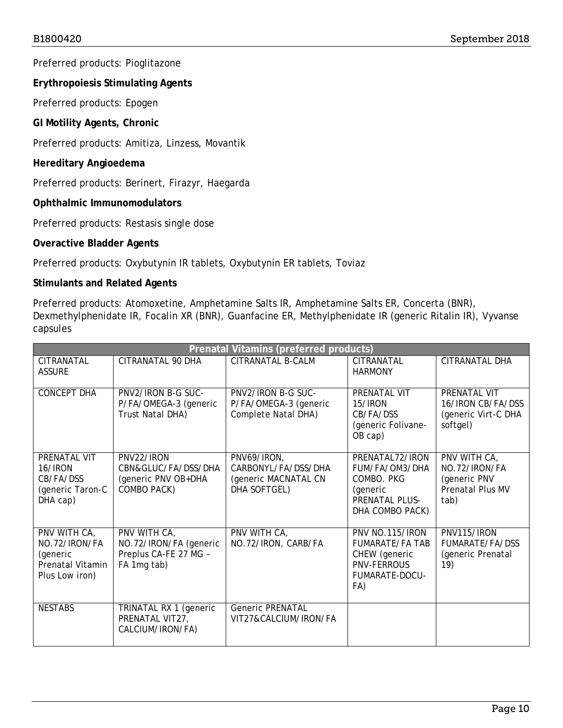Preferred products: Pioglitazone

**Erythropoiesis Stimulating Agents**

Preferred products: Epogen

**GI Motility Agents, Chronic**

Preferred products: Amitiza, Linzess, Movantik

### **Hereditary Angioedema**

Preferred products: Berinert, Firazyr, Haegarda

### **Ophthalmic Immunomodulators**

Preferred products: Restasis single dose

## **Overactive Bladder Agents**

Preferred products: Oxybutynin IR tablets, Oxybutynin ER tablets, Toviaz

## **Stimulants and Related Agents**

Preferred products: Atomoxetine, Amphetamine Salts IR, Amphetamine Salts ER, Concerta (BNR), Dexmethylphenidate IR, Focalin XR (BNR), Guanfacine ER, Methylphenidate IR (generic Ritalin IR), Vyvanse capsules

| Prenatal Vitamins (preferred products)                                          |                                                                                |                                                                            |                                                                                                           |                                                                                  |  |
|---------------------------------------------------------------------------------|--------------------------------------------------------------------------------|----------------------------------------------------------------------------|-----------------------------------------------------------------------------------------------------------|----------------------------------------------------------------------------------|--|
| <b>CITRANATAL</b><br><b>ASSURE</b>                                              | CITRANATAL 90 DHA                                                              | <b>CITRANATAL B-CALM</b>                                                   | <b>CITRANATAL</b><br><b>HARMONY</b>                                                                       | <b>CITRANATAL DHA</b>                                                            |  |
| <b>CONCEPT DHA</b>                                                              | PNV2/IRON B-G SUC-<br>P/FA/OMEGA-3 (generic<br>Trust Natal DHA)                | PNV2/IRON B-G SUC-<br>P/FA/OMEGA-3 (generic<br>Complete Natal DHA)         | PRENATAL VIT<br>15/IRON<br>CB/FA/DSS<br>(generic Folivane-<br>OB cap)                                     | <b>PRENATAL VIT</b><br>16/IRON CB/FA/DSS<br>(generic Virt-C DHA<br>softgel)      |  |
| PRENATAL VIT<br>16/IRON<br>CB/FA/DSS<br>(generic Taron-C<br>DHA cap)            | PNV22/IRON<br>CBN&GLUC/FA/DSS/DHA<br>(generic PNV OB+DHA<br>COMBO PACK)        | PNV69/IRON,<br>CARBONYL/FA/DSS/DHA<br>(generic MACNATAL CN<br>DHA SOFTGEL) | PRENATAL72/IRON<br>FUM/FA/OM3/DHA<br>COMBO. PKG<br>(generic<br><b>PRENATAL PLUS-</b><br>DHA COMBO PACK)   | PNV WITH CA,<br>NO.72/IRON/FA<br>(generic PNV<br><b>Prenatal Plus MV</b><br>tab) |  |
| PNV WITH CA,<br>NO.72/IRON/FA<br>(generic<br>Prenatal Vitamin<br>Plus Low iron) | PNV WITH CA,<br>NO.72/IRON/FA (generic<br>Preplus CA-FE 27 MG -<br>FA 1mg tab) | PNV WITH CA,<br>NO.72/IRON, CARB/FA                                        | PNV NO.115/IRON<br><b>FUMARATE/FA TAB</b><br>CHEW (generic<br><b>PNV-FERROUS</b><br>FUMARATE-DOCU-<br>FA) | PNV115/IRON<br>FUMARATE/FA/DSS<br>(generic Prenatal<br>19)                       |  |
| <b>NESTABS</b>                                                                  | TRINATAL RX 1 (generic<br>PRENATAL VIT27,<br>CALCIUM/IRON/FA)                  | <b>Generic PRENATAL</b><br>VIT27&CALCIUM/IRON/FA                           |                                                                                                           |                                                                                  |  |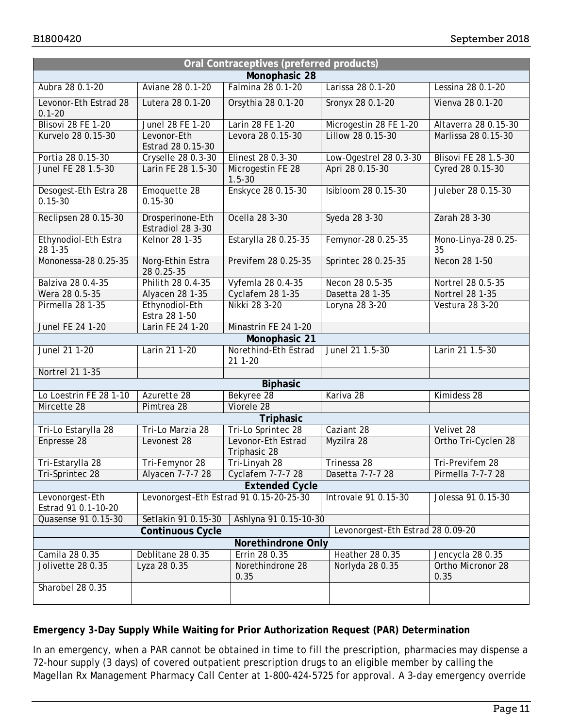| Oral Contraceptives (preferred products)                            |                                                                            |                                         |                        |                                      |  |
|---------------------------------------------------------------------|----------------------------------------------------------------------------|-----------------------------------------|------------------------|--------------------------------------|--|
| Monophasic 28                                                       |                                                                            |                                         |                        |                                      |  |
| Aubra 28 0.1-20                                                     | Aviane 28 0.1-20<br>Falmina 28 0.1-20<br>Larissa 28 0.1-20                 |                                         | Lessina 28 0.1-20      |                                      |  |
| Levonor-Eth Estrad 28<br>$0.1 - 20$                                 | Lutera 28 0.1-20                                                           | Orsythia 28 0.1-20                      | Sronyx 28 0.1-20       | Vienva 28 0.1-20                     |  |
| Blisovi 28 FE 1-20                                                  | Junel 28 FE 1-20                                                           | Larin 28 FE 1-20                        | Microgestin 28 FE 1-20 | Altaverra 28 0.15-30                 |  |
| Kurvelo 28 0.15-30                                                  | Lillow 28 0.15-30<br>Levonor-Eth<br>Levora 28 0.15-30<br>Estrad 28 0.15-30 |                                         | Marlissa 28 0.15-30    |                                      |  |
| Portia 28 0.15-30                                                   | Cryselle 28 0.3-30                                                         | Elinest 28 0.3-30                       | Low-Ogestrel 28 0.3-30 | <b>Blisovi FE 28 1.5-30</b>          |  |
| Junel FE 28 1.5-30                                                  | Larin FE 28 1.5-30                                                         | Microgestin FE 28<br>$1.5 - 30$         | Apri 28 0.15-30        | Cyred 28 0.15-30                     |  |
| Desogest-Eth Estra 28<br>$0.15 - 30$                                | Emoquette 28<br>$0.15 - 30$                                                | Enskyce 28 0.15-30                      | Isibloom 28 0.15-30    | Juleber 28 0.15-30                   |  |
| Reclipsen 28 0.15-30                                                | Drosperinone-Eth<br>Estradiol 28 3-30                                      | Ocella 28 3-30                          | Syeda 28 3-30          | Zarah 28 3-30                        |  |
| Ethynodiol-Eth Estra<br>28 1-35                                     | Kelnor 28 1-35                                                             | Estarylla 28 0.25-35                    | Femynor-28 0.25-35     | Mono-Linya-28 0.25-<br>35            |  |
| Mononessa-28 0.25-35                                                | Norg-Ethin Estra<br>28 0.25-35                                             | Previfem 28 0.25-35                     | Sprintec 28 0.25-35    | Necon 28 1-50                        |  |
| Balziva 28 0.4-35                                                   | Philith 28 0.4-35                                                          | Vyfemla 28 0.4-35                       | Necon 28 0.5-35        | Nortrel 28 0.5-35<br>Nortrel 28 1-35 |  |
| Wera 28 0.5-35                                                      | Alyacen 28 1-35                                                            | Cyclafem 28 1-35                        | Dasetta 28 1-35        |                                      |  |
| Pirmella 28 1-35                                                    | Ethynodiol-Eth<br>Estra 28 1-50                                            | Nikki 28 3-20                           | Loryna 28 3-20         | Vestura 28 3-20                      |  |
| <b>Junel FE 24 1-20</b>                                             | Larin FE 24 1-20                                                           | Minastrin FE 24 1-20                    |                        |                                      |  |
| Monophasic 21                                                       |                                                                            |                                         |                        |                                      |  |
| Junel 21 1-20                                                       | Larin 21 1-20                                                              | Norethind-Eth Estrad<br>21 1-20         | Junel 21 1.5-30        | Larin 21 1.5-30                      |  |
| Nortrel 21 1-35                                                     |                                                                            |                                         |                        |                                      |  |
| <b>Biphasic</b>                                                     |                                                                            |                                         |                        |                                      |  |
| Lo Loestrin FE 28 1-10                                              | Azurette 28                                                                | Bekyree 28                              | Kariva 28              | Kimidess 28                          |  |
| Mircette 28                                                         | Pimtrea 28                                                                 | Viorele 28                              |                        |                                      |  |
|                                                                     |                                                                            | Triphasic                               |                        |                                      |  |
| Tri-Lo Estarylla 28                                                 | Tri-Lo Marzia 28                                                           | Tri-Lo Sprintec 28                      | Caziant 28             | Velivet 28                           |  |
| Enpresse 28                                                         | Levonest 28                                                                | Levonor-Eth Estrad<br>Triphasic 28      | Myzilra 28             | Ortho Tri-Cyclen 28                  |  |
| Tri-Estarylla 28                                                    | Tri-Femynor 28                                                             | Tri-Linyah 28                           | Trinessa 28            | Tri-Previfem 28                      |  |
| Tri-Sprintec 28                                                     | Alyacen 7-7-7 28                                                           | Cyclafem 7-7-7 28                       | Dasetta 7-7-7 28       | Pirmella 7-7-7 28                    |  |
| <b>Extended Cycle</b>                                               |                                                                            |                                         |                        |                                      |  |
| Levonorgest-Eth<br>Estrad 91 0.1-10-20                              |                                                                            | Levonorgest-Eth Estrad 91 0.15-20-25-30 | Introvale 91 0.15-30   | Jolessa 91 0.15-30                   |  |
| Ashlyna 91 0.15-10-30<br>Quasense 91 0.15-30<br>Setlakin 91 0.15-30 |                                                                            |                                         |                        |                                      |  |
| Levonorgest-Eth Estrad 28 0.09-20<br><b>Continuous Cycle</b>        |                                                                            |                                         |                        |                                      |  |
| Norethindrone Only                                                  |                                                                            |                                         |                        |                                      |  |
| Camila 28 0.35                                                      | Deblitane 28 0.35                                                          | Errin 28 0.35                           | <b>Heather 28 0.35</b> | Jencycla 28 0.35                     |  |
| Jolivette 28 0.35                                                   | Lyza 28 0.35                                                               | Norethindrone 28<br>0.35                | Norlyda 28 0.35        | Ortho Micronor 28<br>0.35            |  |
| Sharobel 28 0.35                                                    |                                                                            |                                         |                        |                                      |  |

## **Emergency 3-Day Supply While Waiting for Prior Authorization Request (PAR) Determination**

In an emergency, when a PAR cannot be obtained in time to fill the prescription, pharmacies may dispense a 72-hour supply (3 days) of covered outpatient prescription drugs to an eligible member by calling the Magellan Rx Management Pharmacy Call Center at 1-800-424-5725 for approval. A 3-day emergency override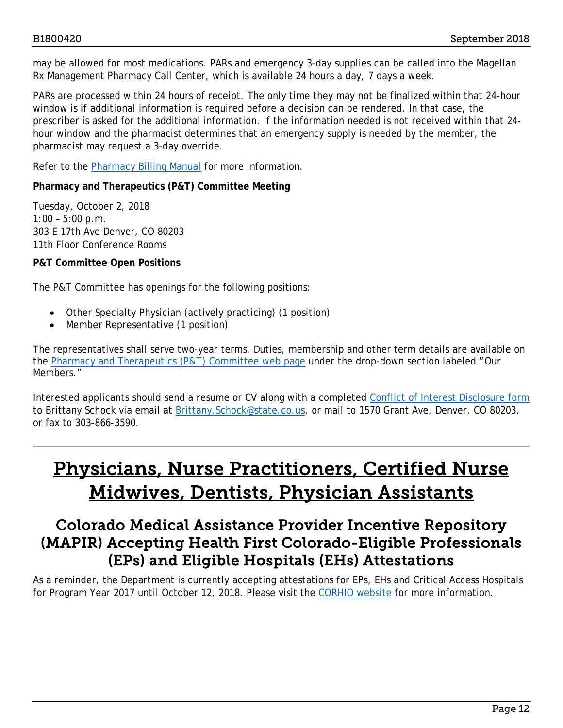may be allowed for most medications. PARs and emergency 3-day supplies can be called into the Magellan Rx Management Pharmacy Call Center, which is available 24 hours a day, 7 days a week.

PARs are processed within 24 hours of receipt. The only time they may not be finalized within that 24-hour window is if additional information is required before a decision can be rendered. In that case, the prescriber is asked for the additional information. If the information needed is not received within that 24 hour window and the pharmacist determines that an emergency supply is needed by the member, the pharmacist may request a 3-day override.

Refer to the **Pharmacy Billing Manual** for more information.

### **Pharmacy and Therapeutics (P&T) Committee Meeting**

Tuesday, October 2, 2018 1:00 – 5:00 p.m. 303 E 17th Ave Denver, CO 80203 11th Floor Conference Rooms

### **P&T Committee Open Positions**

The P&T Committee has openings for the following positions:

- Other Specialty Physician (actively practicing) (1 position)
- Member Representative (1 position)

The representatives shall serve two-year terms. Duties, membership and other term details are available on the [Pharmacy and Therapeutics \(P&T\) Committee web page](https://www.colorado.gov/pacific/hcpf/pharmacy-and-therapeutics-committee) under the drop-down section labeled "Our Members."

Interested applicants should send a resume or CV along with a completed [Conflict of Interest Disclosure form](mailto:Conflict%20of%20Interest%20Disclosure%20form) to Brittany Schock via email at Brittany. Schock@state.co.us, or mail to 1570 Grant Ave, Denver, CO 80203, or fax to 303-866-3590.

# <span id="page-11-1"></span>Physicians, Nurse Practitioners, Certified Nurse Midwives, Dentists, Physician Assistants

## <span id="page-11-0"></span>Colorado Medical Assistance Provider Incentive Repository (MAPIR) Accepting Health First Colorado-Eligible Professionals (EPs) and Eligible Hospitals (EHs) Attestations

As a reminder, the Department is currently accepting attestations for EPs, EHs and Critical Access Hospitals for Program Year 2017 until October 12, 2018. Please visit the [CORHIO](http://www.corhio.org/expertise/meaningful-use-quality-payment-program/mapir) website for more information.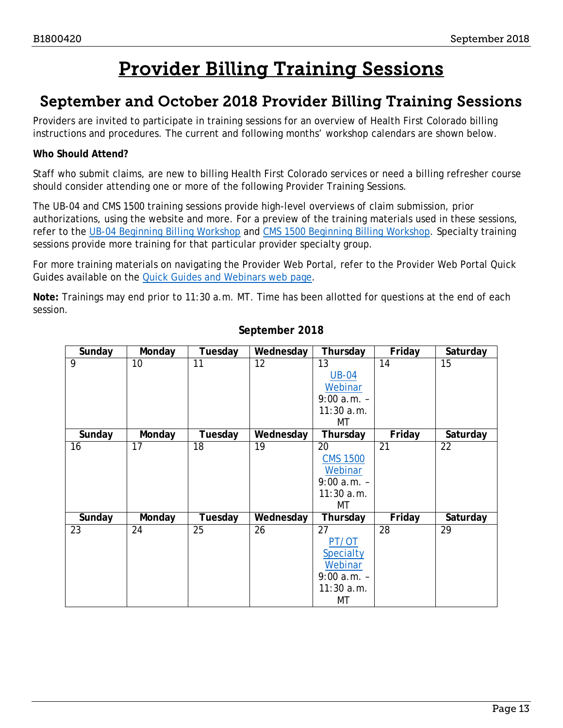# Provider Billing Training Sessions

## <span id="page-12-1"></span><span id="page-12-0"></span>September and October 2018 Provider Billing Training Sessions

Providers are invited to participate in training sessions for an overview of Health First Colorado billing instructions and procedures. The current and following months' workshop calendars are shown below.

## **Who Should Attend?**

Staff who submit claims, are new to billing Health First Colorado services or need a billing refresher course should consider attending one or more of the following Provider Training Sessions.

The UB-04 and CMS 1500 training sessions provide high-level overviews of claim submission, prior authorizations, using the website and more. For a preview of the training materials used in these sessions, refer to the [UB-04 Beginning Billing Workshop](https://www.colorado.gov/pacific/sites/default/files/2018%20Institutional%20Beginning%20Billing%20Workshop%20UB-04%20vers%201.6.pdf) and [CMS 1500 Beginning Billing Workshop.](https://www.colorado.gov/pacific/sites/default/files/2018%20CMS%20Beginning%20Billing%20011218%20Ver%201.7.pdf) Specialty training sessions provide more training for that particular provider specialty group.

For more training materials on navigating the Provider Web Portal, refer to the Provider Web Portal Quick Guides available on the [Quick Guides and Webinars web page.](https://www.colorado.gov/hcpf/interchange-resources)

**Note:** Trainings may end prior to 11:30 a.m. MT. Time has been allotted for questions at the end of each session.

| Sunday | Monday | Tuesday | Wednesday | Thursday        | Friday | Saturday |
|--------|--------|---------|-----------|-----------------|--------|----------|
| 9      | 10     | 11      | 12        | 13              | 14     | 15       |
|        |        |         |           | <b>UB-04</b>    |        |          |
|        |        |         |           | Webinar         |        |          |
|        |        |         |           | $9:00 a.m. -$   |        |          |
|        |        |         |           | 11:30 a.m.      |        |          |
|        |        |         |           | МT              |        |          |
| Sunday | Monday | Tuesday | Wednesday | Thursday        | Friday | Saturday |
| 16     | 17     | 18      | 19        | 20              | 21     | 22       |
|        |        |         |           | <b>CMS 1500</b> |        |          |
|        |        |         |           | Webinar         |        |          |
|        |        |         |           | $9:00 a.m. -$   |        |          |
|        |        |         |           | 11:30 a.m.      |        |          |
|        |        |         |           | MT              |        |          |
| Sunday | Monday | Tuesday | Wednesday | Thursday        | Friday | Saturday |
| 23     | 24     | 25      | 26        | 27              | 28     | 29       |
|        |        |         |           | PT/OT           |        |          |
|        |        |         |           | Specialty       |        |          |
|        |        |         |           | Webinar         |        |          |
|        |        |         |           | $9:00 a.m. -$   |        |          |
|        |        |         |           | $11:30$ a.m.    |        |          |
|        |        |         |           | MT              |        |          |

## **September 2018**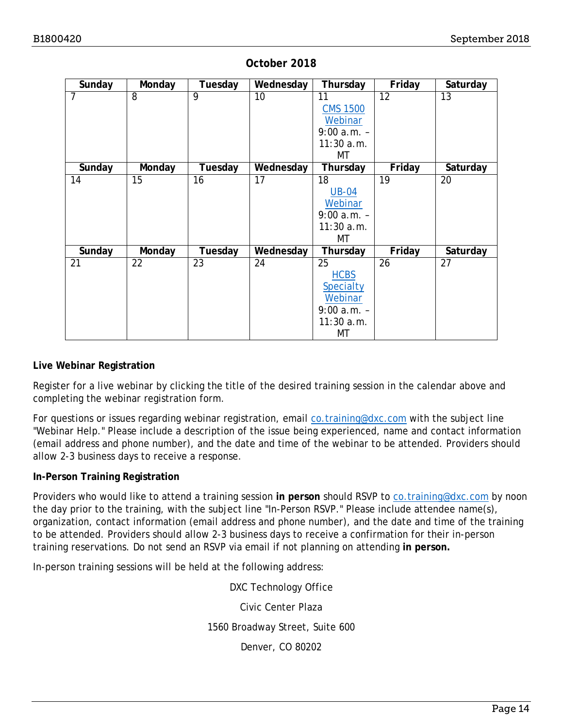| Sunday         | Monday          | Tuesday         | Wednesday | Thursday        | Friday          | Saturday        |
|----------------|-----------------|-----------------|-----------|-----------------|-----------------|-----------------|
| $\overline{7}$ | $\overline{8}$  | $\overline{9}$  | 10        | 11              | $\overline{12}$ | $\overline{13}$ |
|                |                 |                 |           | <b>CMS 1500</b> |                 |                 |
|                |                 |                 |           | Webinar         |                 |                 |
|                |                 |                 |           | $9:00 a.m. -$   |                 |                 |
|                |                 |                 |           | $11:30$ a.m.    |                 |                 |
|                |                 |                 |           | МT              |                 |                 |
| Sunday         | Monday          | Tuesday         | Wednesday | Thursday        | Friday          | Saturday        |
| 14             | $\overline{15}$ | 16              | 17        | 18              | $\overline{19}$ | 20              |
|                |                 |                 |           | <b>UB-04</b>    |                 |                 |
|                |                 |                 |           | Webinar         |                 |                 |
|                |                 |                 |           | $9:00$ a.m. -   |                 |                 |
|                |                 |                 |           | 11:30a.m.       |                 |                 |
|                |                 |                 |           | МT              |                 |                 |
| Sunday         | Monday          | Tuesday         | Wednesday | Thursday        | Friday          | Saturday        |
| 21             | 22              | $\overline{23}$ | 24        | 25              | 26              | $\overline{27}$ |
|                |                 |                 |           | <b>HCBS</b>     |                 |                 |
|                |                 |                 |           | Specialty       |                 |                 |
|                |                 |                 |           | Webinar         |                 |                 |
|                |                 |                 |           | $9:00 a.m. -$   |                 |                 |
|                |                 |                 |           | 11:30a.m.       |                 |                 |
|                |                 |                 |           | МT              |                 |                 |

### **October 2018**

### **Live Webinar Registration**

Register for a live webinar by clicking the title of the desired training session in the calendar above and completing the webinar registration form.

For questions or issues regarding webinar registration, email [co.training@dxc.com](mailto:co.training@dxc.com) with the subject line "Webinar Help." Please include a description of the issue being experienced, name and contact information (email address and phone number), and the date and time of the webinar to be attended. Providers should allow 2-3 business days to receive a response.

### **In-Person Training Registration**

Providers who would like to attend a training session in person should RSVP to [co.training@dxc.com](mailto:co.training@dxc.com) by noon the day prior to the training, with the subject line "In-Person RSVP." Please include attendee name(s), organization, contact information (email address and phone number), and the date and time of the training to be attended. Providers should allow 2-3 business days to receive a confirmation for their in-person training reservations. Do not send an RSVP via email if not planning on attending **in person.**

In-person training sessions will be held at the following address:

DXC Technology Office Civic Center Plaza 1560 Broadway Street, Suite 600 Denver, CO 80202